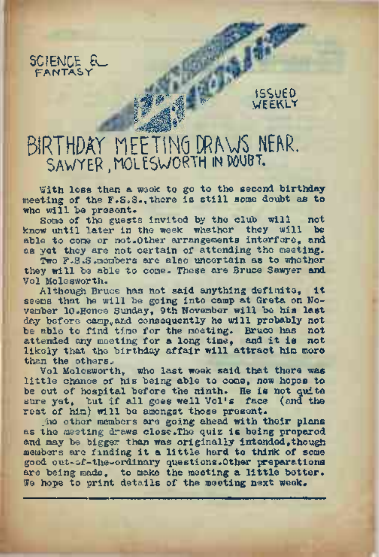

# ISSUED **WEEKLY**

# BIRTHDAY MEETING URAWS NEAR. SaWYEP , nOltSWORTH in MUST.

With less than a week to go to the second birthday meeting of the F.S.S.,there is still some doubt as to who will be present.

*r*

Some of the guests invited by the club will not know until later in the week whether they will be able to come or not.Other arrangements interfere, and as yet they are not certain of attending the meeting.

Two F.S.S. members are also uncertain as to whether they will be able to come. These are Bruce Sawyer and Vol Molesworth.

Although Bruce has not said anything definite, it seems that he will be going into camp at Greta on No-vember 10.Hence Sunday, 9th November will be his last day before camp and consequently he will probably not be able to find time for the meeting. Bruce has not attended any meeting for <sup>a</sup> long time, and it is not likely that the birthday affair will attract him more than the others,.

Vol Molesworth, who last week said that there was little chance of his being able to come, now hopes to be out of hospital before the ninth. He is not quite sure yet, but if all goes well Vol's face (and the rest of him) will be amongst those present.

he other members are going ahead with their plans as the meeting draws close.The quiz is being prepared and may be bigger than was originally intended.though members are finding it a little hard to think of some good out-of-the-ordinary questions.Other preparations are being made, to make the meeting a little better. We hope to print details of the meeting next week.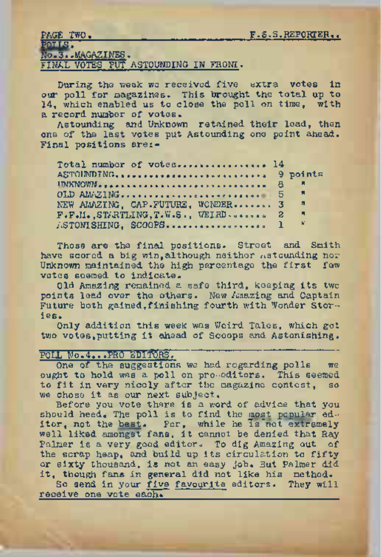| LYND THAT |                |                                      |  |  |
|-----------|----------------|--------------------------------------|--|--|
| POLIS.    |                |                                      |  |  |
|           | No.3MAGAZINES. |                                      |  |  |
|           |                | FINLI VOTES PHT ASTOUNDING IN FRONT. |  |  |

During the week we received five extra votes in our poll for magazines. This brought the total up to 14, which enabled us to close the poll on time. with a record number of votes.

Astounding and Unknown retained their lead, then ons of the last votes put Astounding one point ahead. Final positions are:-

| Total number of votes 14          |                |
|-----------------------------------|----------------|
| ASTOIMDING,  9 points             |                |
|                                   |                |
|                                   |                |
| NEW AMAZING. CAP.FUTURE. WONDER 3 | - 61           |
| F.F.M. STATLING.T.W.S., WEIRD.  2 | $\blacksquare$ |
| $\texttt{JSTOM}$ SHING, SCOOPS 1  | - 6            |

Those are the final positions. Street and Smith have scored a big win, although neither asteunding nor Unknown maintained the high parcentage the first few votes soamed to indicate.

Old Amezing remained a safe third, keeping its two points lead over the others. New Amazing and Captain Future both gained.finishing fourth with Wonder Storfes.

Only addition this week was Weird Tales, which got two votes, putting it shead of Scoops and Astonishing.

### POLL No.4...PRO SDITORS.

One of the suggestions we had regarding polls  $-$  we ought to hold was a poll on pro-editors. This seemed to fit in very nicely after the magazine contest, so we chose it as our next subject.

Before you vote there is a word of advice that you should heed. The poll is to find the most popular ed. itor, not the best. For, while he is not extremely well liked amongst fans, it cannot be denied that Ray Palmer is a very good editor. To dig Amazing out of the scrap heap, and build up its circulation to fifty or sixty thousand, is not an easy job. But Palmer did it, though fans in general did not like his method.

So send in your five favourite editors. They will receive one vote each.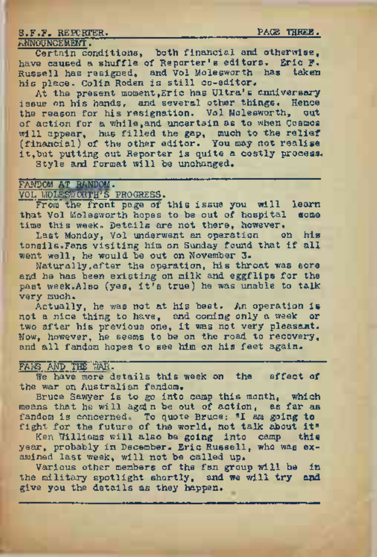S.F.F. REPORTER. **EXAMPLE PACE THREE.** 

#### ANNOUNCEMENT.

Certain conditions, both financial and otherwise, have caused a shuffle of Reporter's editors. Eric F. Russell has resigned, and Vol Molesworth has taken his place. Colin Roden is still co-editor.

At the present moment, Eric has Ultra's enniversary issue on his hands, and several other things. Hence the reason for his resignation. Vol Molesworth, out of action for a while,and uncertain as to when Cosmos will appear, has filled the gap, much to the relief (financial) of the other editor. You may not realise it,but putting out Reporter is quite a costly process. Style and format will be unchanged.

#### FANDOM: AT RANDOM.

## volIjolesworth'<sup>s</sup> progress.

From'the front page of this issue you will learn that Vol Molesworth hopes to be out of hospital some time this week. Details are not there, however.<br>Last Monday, Vol underwant an operation on his

Last Monday, Vol underwent an operation tonsilsoFans visiting him on Sunday found that if all went well, he would be out on November 3.

Naturally,after the operation, his throat was sore and he has been existing on milk and eggflips for the past week.Also (yes, it's true) he was unable to talk very much.

Actually, he was not at his best. An operation is not a nice thing to have, and coming only a week: or two after his previous one, it was not very pleasant. Now, however, he seems to be on the road to recovery, and all fandom hopes to see him on his feet again.

## FARS AND THE "TAR.

We have more details this week on the effect of the war on Australian fandom.

Bruce Sawyer is to go into camp this month, which means that he will again be out of action, as far as fandom is concerned. To quote Bruce: "I am going **to** fight for the future of the world, not talk about it"

Ken Williams will also be going into camp **this** year, probably in December. Eric Russell, who was examined last week, will not be called up.

Various other members of the fan group will be in the military spotlight shortly, and we will **try and** give you the details as they happen.